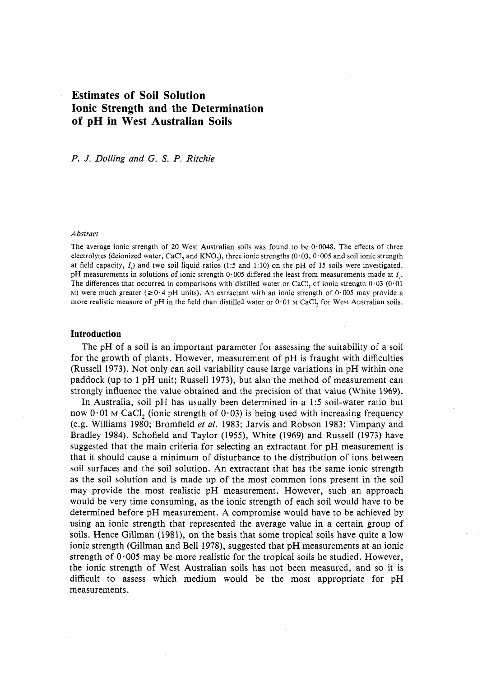# **Estimates of Soil Solution Ionic Strength and the Determination of pH in West Australian Soils**

 *P.* J. *Dolling and* G. S. *P. Ritchie* 

### *Abstract*

The average ionic strength of 20 West Australian soils was found to be  $0.0048$ . The effects of three electrolytes (deionized water, CaCl<sub>2</sub> and KNO<sub>3</sub>), three ionic strengths (0·03, 0·005 and soil ionic strength at field capacity,  $I<sub>s</sub>$ ) and two soil liquid ratios (1:5 and 1:10) on the pH of 15 soils were investigated. pH measurements in solutions of ionic strength 0·005 differed the least from measurements made at *Is'*  The differences that occurred in comparisons with distilled water or CaCl<sub>2</sub> of ionic strength  $0.03$  (0.01 M) were much greater ( $\geq 0.4$  pH units). An extractant with an ionic strength of  $0.005$  may provide a more realistic measure of pH in the field than distilled water or  $0.01$  M CaCl<sub>2</sub> for West Australian soils.

### **Introduction**

 The pH of a soil is an important parameter for assessing the suitability of a soil for the growth of plants. However, measurement of pH is fraught with difficulties (Russell 1973). Not only can soil variability cause large variations in pH within one paddock (up to 1 pH unit; Russell 1973), but also the method of measurement can strongly influence the value obtained and the precision of that value (White 1969).

 In Australia, soil pH has usually been determined in a 1:5 soil-water ratio but now  $0.01$  M CaCl<sub>2</sub> (ionic strength of  $0.03$ ) is being used with increasing frequency (e.g. Williams 1980; Bromfield *et al.* 1983; Jarvis and Robson 1983; Vimpany and Bradley 1984). Schofield and Taylor (1955), White (1969) and Russell (1973) have suggested that the main criteria for selecting an extractant for pH measurement is that it should cause a minimum of disturbance to the distribution of ions between soil surfaces and the soil solution. An extractant that has the same ionic strength as the soil solution and is made up of the most common ions present in the soil may provide the most realistic pH measurement. However, such an approach would be very time consuming, as the ionic strength of each soil would have to be determined before pH measurement. A compromise would have to be achieved by using an ionic strength that represented the average value in a certain group of soils. Hence Gillman (1981), on the basis that some tropical soils have quite a low ionic strength (Gillman and Bell 1978), suggested that pH measurements at an ionic strength of  $0.005$  may be more realistic for the tropical soils he studied. However, the ionic strength of West Australian soils has not been measured, and so it is difficult to assess which medium would be the most appropriate for pH measurements.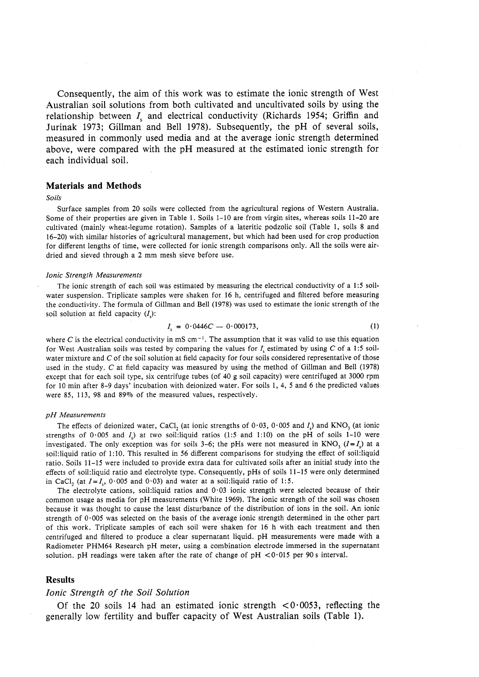Consequently, the aim of this work was to estimate the ionic strength of West Australian soil solutions from both cultivated and uncultivated soils by using the relationship between  $I_s$  and electrical conductivity (Richards 1954; Griffin and measured in commonly used media and at the average ionic strength determined each individual soil. Jurinak 1973; Gillman and Bell 1978). Subsequently, the pH of several soils, above, were compared with the pH measured at the estimated ionic strength for

### **Materials and Methods**

#### *Soils*

 Surface samples from 20 soils were collected from the agricultural regions of Western Australia. Some of their properties are given in Table I. Soils 1-10 are from virgin sites, whereas soils 11-20 are cultivated (mainly wheat-legume rotation). Samples of a lateritic podzolic soil (Table I, soils 8 and 16-20) with similar histories of agricultural management, but which had been used for crop production for different lengths of time, were collected for ionic strength comparisons only. All the soils were air-dried and sieved through a 2 mm mesh sieve before use.

#### *Ionic Strength Measurements*

 The ionic strength of each soil was estimated by measuring the electrical conductivity of a 1:5 soil- water suspension. Triplicate samples were shaken for 16 h, centrifuged and filtered before measuring the conductivity. The formula of Gillman and Bell (1978) was used to estimate the ionic strength of the soil solution at field capacity *(I<sub>s</sub>*):

$$
I_s = 0.0446C - 0.000173, \tag{1}
$$

where C is the electrical conductivity in mS cm<sup>-1</sup>. The assumption that it was valid to use this equation for West Australian soils was tested by comparing the values for *Is* estimated by using C of a 1:5 soilwater mixture and  $C$  of the soil solution at field capacity for four soils considered representative of those used in the study. C at field capacity was measured by using the method of Gillman and Bell (1978) except that for each soil type, six centrifuge tubes (of 40 g soil capacity) were centrifuged at 3000 rpm for 10 min after 8-9 days' incubation with deionized water. For soils I, 4, 5 and 6 the predicted values were 85, 113, 98 and 89% of the measured values, respectively.

#### *pH Measurements*

The effects of deionized water, CaCl<sub>2</sub> (at ionic strengths of  $0.03$ ,  $0.005$  and  $I_s$ ) and KNO<sub>3</sub> (at ionic investigated. The only exception was for soils 3-6; the pHs were not measured in  $KNO<sub>3</sub>$  ( $I = I<sub>s</sub>$ ) at a soil:liquid ratio of 1: 10. This resulted in 56 different comparisons for studying the effect of soil:liquid ratio. Soils 11-15 were included to provide extra data for cultivated soils after an initial study into the effects of soil:liquid ratio and electrolyte type. Consequently, pHs of soils 11-15 were only determined strengths of  $0.005$  and *I*) at two soil:liquid ratios (1:5 and 1:10) on the pH of soils 1-10 were in CaCl<sub>2</sub> (at  $I = I_s$ , 0.005 and 0.03) and water at a soil:liquid ratio of 1:5.

The electrolyte cations, soil: liquid ratios and  $0.03$  ionic strength were selected because of their common usage as media for pH measurements (White 1969). The ionic strength of the soil was chosen because it was thought to cause the least disturbance of the distribution of ions in the soil. An ionic strength of 0·005 was selected on the basis of the average ionic strength determined in the other part of this work. Triplicate samples of each soil were shaken for 16 h with each treatment and then centrifuged and filtered to produce a clear supernatant liquid. pH measurements were made with a Radiometer PHM64 Research pH meter, using a combination electrode immersed in the supernatant solution. pH readings were taken after the rate of change of  $pH < 0.015$  per 90 s interval.

### **Results**

# *Ionic Strength of the Soil Solution*

Of the 20 soils 14 had an estimated ionic strength  $\langle 0.0053,$  reflecting the generally low fertility and buffer capacity of West Australian soils (Table 1).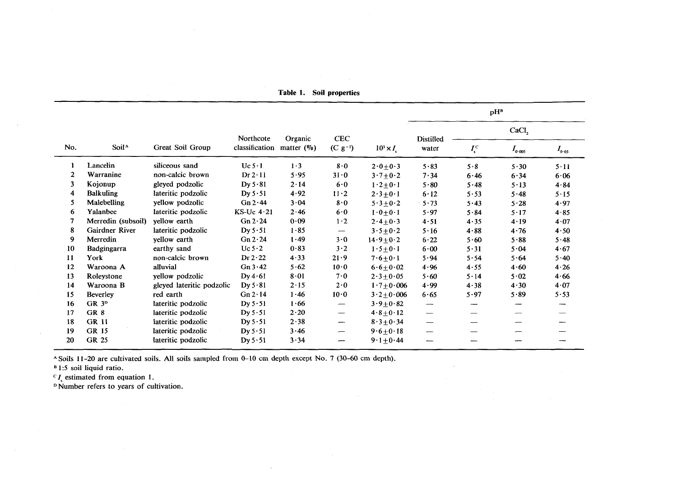|     |                    |                           |                |               |                 |                 | pH <sup>B</sup>               |                     |             |            |
|-----|--------------------|---------------------------|----------------|---------------|-----------------|-----------------|-------------------------------|---------------------|-------------|------------|
|     |                    |                           | Northcote      | Organic       | CEC             |                 | <b>Distilled</b>              |                     | CaCl,       |            |
| No. | Soil <sup>A</sup>  | Great Soil Group          | classification | matter $(\%)$ | $(C g^{-1})$    | $10^3 \times I$ | water                         | $I_{\rm s}^{\rm c}$ | $I_{0.005}$ | $I_{0.03}$ |
| 1   | Lancelin           | siliceous sand            | Uc 5.1         | 1.3           | 8.0             | $2.0 + 0.3$     | 5.83                          | $5 - 8$             | 5.30        | 5.11       |
| 2   | Warranine          | non-calcic brown          | Dr 2.11        | 5.95          | $31-0$          | $3.7 + 0.2$     | 7.34                          | 6.46                | 6.34        | 6.06       |
| 3   | Kojonup            | gleyed podzolic           | Dy 5.81        | $2 - 14$      | 6.0             | $1.2 \pm 0.1$   | 5.80                          | 5.48                | 5.13        | 4.84       |
| 4   | <b>Balkuling</b>   | lateritic podzolic        | Dy $5.51$      | 4.92          | $11-2$          | $2.3 \pm 0.1$   | 6.12                          | 5.53                | 5.48        | 5.15       |
| 5   | <b>Malebelling</b> | yellow podzolic           | Gn 2.44        | $3 - 04$      | 8.0             | $5.3 + 0.2$     | $5 - 73$                      | 5.43                | $5 - 28$    | 4.97       |
| 6   | Yalanbee           | lateritic podzolic        | $KS-Uc$ 4.21   | 2.46          | 6.0             | $1.0 + 0.1$     | 5.97                          | 5.84                | 5.17        | $4 - 85$   |
| 7   | Merredin (subsoil) | yellow earth              | Gn 2.24        | 0.09          | $1-2$           | $2.4 + 0.3$     | 4.51                          | 4.35                | 4.19        | $4 - 07$   |
| 8   | Gairdner River     | lateritic podzolic        | Dy 5.51        | $1 - 85$      | $\qquad \qquad$ | $3.5 + 0.2$     | 5.16                          | 4.88                | 4.76        | 4.50       |
| 9   | Merredin           | yellow earth              | Gn 2.24        | $1 - 49$      | 3.0             | $14.9 + 0.2$    | $6-22$                        | $5 - 60$            | $5 - 88$    | 5.48       |
| 10  | Badgingarra        | earthy sand               | Uc $5-2$       | 0.83          | 3.2             | $1.5 \pm 0.1$   | $6 - 00$                      | $5 - 31$            | 5.04        | 4.67       |
| 11  | York               | non-calcic brown          | Dr 2.22        | 4.33          | $21 - 9$        | $7.6 \pm 0.1$   | 5.94                          | 5.54                | 5.64        | $5-40$     |
| 12  | Waroona A          | alluvial                  | Gn3.42         | 5.62          | $10-0$          | $6.6 + 0.02$    | 4.96                          | 4.55                | $4 - 60$    | 4.26       |
| 13  | Roleystone         | yellow podzolic           | Dy 4.61        | 8.01          | 7.0             | $2.3 \pm 0.05$  | 5.60                          | 5.14                | 5.02        | 4.66       |
| 14  | Waroona B          | gleyed lateritic podzolic | Dy 5.81        | $2 - 15$      | 2.0             | $1.7 + 0.006$   | 4.99                          | 4.38                | 4.30        | 4.07       |
| 15  | <b>Beverley</b>    | red earth                 | Gn 2.14        | $1 - 46$      | 10.0            | $3.2 + 0.006$   | 6.65                          | 5.97                | 5.89        | 5.53       |
| 16  | GR <sub>3p</sub>   | lateritic podzolic        | Dy 5.51        | 1.66          | —               | $3.9 + 0.82$    |                               |                     | ---         | ---        |
| 17  | GR 8               | lateritic podzolic        | Dy $5.51$      | 2.20          | --              | $4.8 + 0.12$    | $\overbrace{\phantom{aaaaa}}$ |                     | –           |            |
| 18  | <b>GR 11</b>       | lateritic podzolic        | Dy 5.51        | $2 - 38$      | -               | $8.3 + 0.34$    | —                             |                     | -           |            |
| 19  | <b>GR 15</b>       | lateritic podzolic        | Dy 5.51        | 3.46          | -               | $9.6 + 0.18$    | $\overline{\phantom{0}}$      |                     |             |            |
| 20  | GR 25              | lateritic podzolic        | Dy $5.51$      | $3 - 34$      | --              | $9.1 + 0.44$    | ----                          |                     |             |            |

Table 1. Soil properties

<sup>A</sup> Soils 11-20 are cultivated soils. All soils sampled from 0-10 cm depth except No. 7 (30-60 cm depth).

<sup>B</sup>1:5 soil liquid ratio.

 $C I_s$  estimated from equation 1.

<sup>D</sup>Number refers to years of cultivation.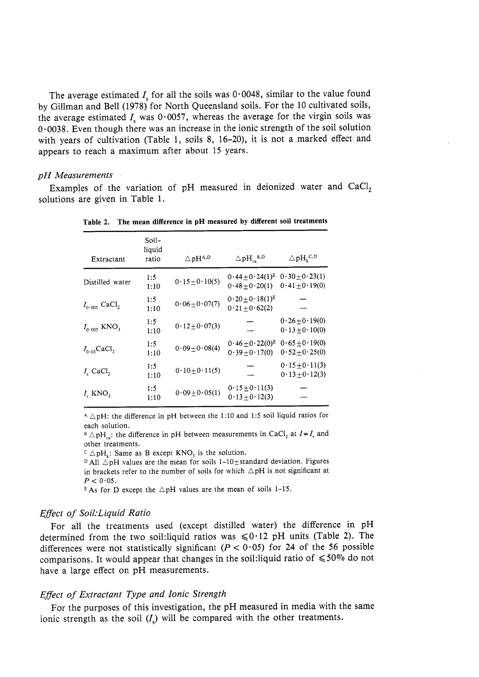The average estimated  $I_s$  for all the soils was  $0.0048$ , similar to the value found by Gillman and Bell (1978) for North Queensland soils. For the 10 cultivated soils, the average estimated  $I<sub>s</sub>$  was 0·0057, whereas the average for the virgin soils was  $0.0038$ . Even though there was an increase in the ionic strength of the soil solution with years of cultivation (Table 1, soils 8, 16-20), it is not a marked effect and appears to reach a maximum after about 15 years.

### *pH Measurements*

Examples of the variation of pH measured in deionized water and  $CaCl<sub>2</sub>$ solutions are given in Table 1.

| Extractant                     | Soil-<br>liquid<br>ratio | $\triangle$ pH <sup>A,D</sup> | $\triangle\, \rm{pH}_{\rm{ca}}^{\ \ B,D}$ | $\triangle$ pH <sub>k</sub> <sup>C,D</sup> |
|--------------------------------|--------------------------|-------------------------------|-------------------------------------------|--------------------------------------------|
| Distilled water                | 1:5<br>1:10              | $0.15 \pm 0.10(5)$            | $0.44 + 0.24(1)^E$<br>$0.48 \pm 0.20(1)$  | $0.30 \pm 0.23(1)$<br>$0.41 \pm 0.19(0)$   |
| $I_{0.005}$ CaCl <sub>2</sub>  | 1:5<br>1:10              | $0.06 \pm 0.07(7)$            | $0.20 \pm 0.18(1)^E$<br>$0.21 + 0.62(2)$  |                                            |
| $I_{0.005}$ KNO <sub>3</sub>   | 1:5<br>1:10              | $0.12 \pm 0.07(3)$            |                                           | $0.26 \pm 0.19(0)$<br>$0.13 \pm 0.10(0)$   |
| $I_{0.03}$ CaCl <sub>2</sub>   | 1:5<br>1:10              | $0.09 + 0.08(4)$              | $0.46 \pm 0.22(0)^E$<br>$0.39 + 0.17(0)$  | $0.65 + 0.19(0)$<br>$0.52 \pm 0.25(0)$     |
| $I_s$ CaCl <sub>2</sub>        | 1:5<br>1:10              | $0.10 \pm 0.11(5)$            |                                           | $0.15 \pm 0.11(3)$<br>$0.13 \pm 0.12(3)$   |
| $I_{\rm s}$ KNO <sub>3</sub> . | 1:5<br>1:10              | $0.09 \pm 0.05(1)$            | $0.15 \pm 0.11(3)$<br>$0.13 + 0.12(3)$    |                                            |

 Table 2. The mean difference in **pH** measured by different soil treatments

 $A \triangle pH$ : the difference in pH between the 1:10 and 1:5 soil liquid ratios for each solution,

 $B \triangle pH_{\text{on}}$ : the difference in pH between measurements in CaCl<sub>2</sub> at  $I = I_s$  and other treatments,

 $\text{C} \triangle pH_k$ : Same as B except KNO<sub>3</sub> is the solution.

in brackets refer to the number of soils for which  $\triangle pH$  is not significant at  $D$ All  $\triangle$ pH values are the mean for soils 1-10 $\pm$ standard deviation. Figures  $P < 0.05$ .

 $E$ As for D except the  $\triangle pH$  values are the mean of soils 1-15.

### *Effect oj Soil:Liquid Ratio*

 For all the treatments used (except distilled water) the difference in pH determined from the two soil:liquid ratios was  $\leq 0.12$  pH units (Table 2). The differences were not statistically significant ( $P < 0.05$ ) for 24 of the 56 possible comparisons. It would appear that changes in the soil: liquid ratio of  $\leq 50\%$  do not have a large effect on pH measurements.

# *Effect oj Extractant Type and Ionic Strength*

ionic strength as the soil  $(I_s)$  will be compared with the other treatments. For the purposes of this investigation, the pH measured in media with the same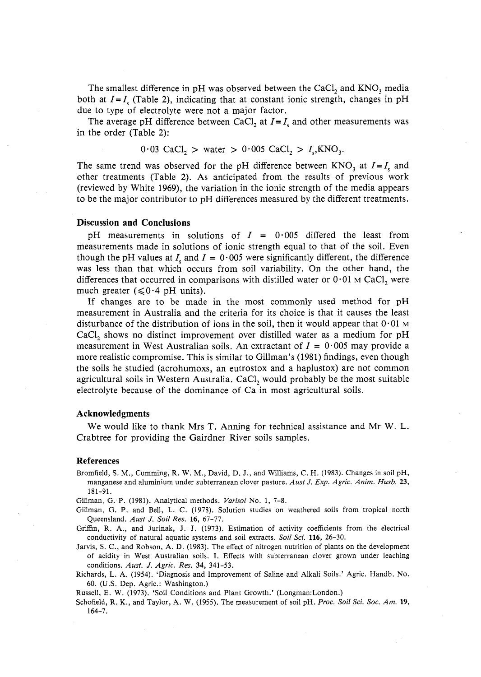due to type of electrolyte were not a major factor. The smallest difference in pH was observed between the CaCl<sub>2</sub> and  $KNO_3$  media both at  $I = I_s$  (Table 2), indicating that at constant ionic strength, changes in pH

 in the order (Table 2): The average pH difference between CaCl<sub>2</sub> at  $I = I_s$  and other measurements was

 $0.03 \text{ CaCl}_2 > \text{water} > 0.005 \text{ CaCl}_2 > I_s, \text{KNO}_3$ 

The same trend was observed for the pH difference between  $KNO_3$  at  $I = I_s$  and other treatments (Table 2). As anticipated from the results of previous work (reviewed by White 1969), the variation in the ionic strength of the media appears to be the major contributor to pH differences measured by the different treatments.

### **Discussion and Conclusions**

 measurements made in solutions of ionic strength equal to that of the soil. Even though the pH values at  $I_s$  and  $I = 0.005$  were significantly different, the difference was less than that which occurs from soil variability. On the other hand, the pH measurements in solutions of  $I = 0.005$  differed the least from differences that occurred in comparisons with distilled water or  $0.01$  M CaCl, were much greater ( $\leq 0.4$  pH units).

 measurement in Australia and the criteria for its choice is that it causes the least disturbance of the distribution of ions in the soil, then it would appear that  $0.01$  M measurement in West Australian soils. An extractant of  $I = 0.005$  may provide a agricultural soils in Western Australia.  $\text{CaCl}_{2}$  would probably be the most suitable electrolyte because of the dominance of Ca in most agricultural soils. If changes are to be made in the most commonly used method for pH CaCl, shows no distinct improvement over distilled water as a medium for pH more realistic compromise. This is similar to Gillman's (1981) findings, even though the soils he studied (acrohumoxs, an eutrostox and a haplustox) are not common

### **Acknowledgments**

 We would like to thank Mrs T. Anning for technical assistance and Mr W. L. Crabtree for providing the Gairdner River soils samples.

### **References**

 Bromfield, S. M., Cumming, R. W. M., David, D. J., and Williams, C. H. (1983). Changes in soil pH, manganese and aluminium under subterranean clover pasture. *Aust* J. *Exp. Agric. Anim. Husb. 23,*  181-91.

Gillman, G. P. (1981). Analytical methods. *Varisol* No.1, 7-8.

- Gillman, G. P. and Bell, L. C. (1978). Solution studies on weathered soils from tropical north Queensland. *Aust* J. *Soil Res.* 16, 67-77.
- Griffin, R. A., and Jurinak, J. J. (1973). Estimation of activity coefficients from the electrical conductivity of natural aquatic systems and soil extracts. *Soil Sci.* 116, 26-30.
- Jarvis, S. C., and Robson, A. D. (1983). The effect of nitrogen nutrition of plants on the development of acidity in West Australian soils. I. Effects with subterranean clover grown under leaching conditions. *Aust.* J. *Agric. Res.* 34, 341-53.
- Richards, L. A. (1954). 'Diagnosis and Improvement of Saline and Alkali Soils.' Agric. Handb. No. 60. (U.S. Dep. Agric.: Washington.)

Russell, E. W. (1973). 'Soil Conditions and Plant Growth.' (Longman:London.)

 Schofield, R. K., and Taylor, A. W. (1955). The measurement of soil pH. *Proc. Soil Sci. Soc. Am. 19,*  164-7.